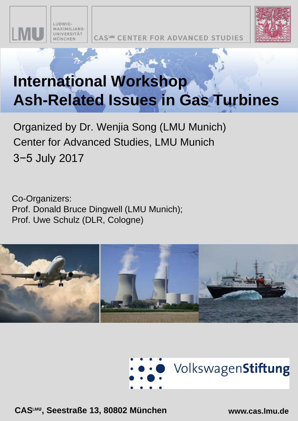

FR FOR ADVANCED UDIES



# **CAS www.cas.lmu.de <sup>L</sup>M**<sup>U</sup>**, Seestraße 13, 80802 München**



Organized by Dr. Wenjia Song (LMU Munich) Center for Advanced Studies, LMU Munich 3−5 July 2017

Co-Organizers: Prof. Donald Bruce Dingwell (LMU Munich); Prof. Uwe Schulz (DLR, Cologne)





# **International Workshop Ash-Related Issues in Gas Turbines**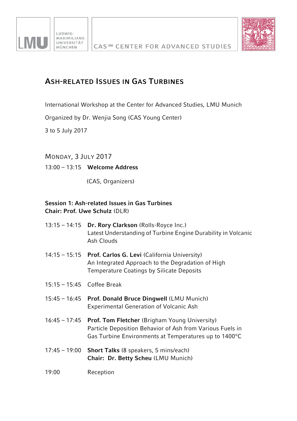



## **ASH-RELATED ISSUES IN GAS TURBINES**

International Workshop at the Center for Advanced Studies, LMU Munich

Organized by Dr. Wenjia Song (CAS Young Center)

3 to 5 July 2017

MONDAY, 3 JULY 2017

13:00 – 13:15 **Welcome Address** 

(CAS, Organizers)

#### **Session 1: Ash-related Issues in Gas Turbines Chair: Prof. Uwe Schulz** (DLR)

- 13:15 14:15 **Dr. Rory Clarkson** (Rolls-Royce Inc.) Latest Understanding of Turbine Engine Durability in Volcanic Ash Clouds
- 14:15 15:15 **Prof. Carlos G. Levi** (California University) An Integrated Approach to the Degradation of High Temperature Coatings by Silicate Deposits
- 15:15 15:45 Coffee Break
- 15:45 16:45 **Prof. Donald Bruce Dingwell** (LMU Munich) Experimental Generation of Volcanic Ash
- 16:45 17:45 **Prof. Tom Fletcher** (Brigham Young University) Particle Deposition Behavior of Ash from Various Fuels in Gas Turbine Environments at Temperatures up to 1400°C
- 17:45 19:00 **Short Talks** (8 speakers, 5 mins/each) **Chair: Dr. Betty Scheu** (LMU Munich)
- 19:00 Reception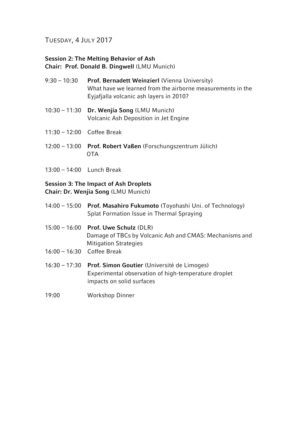#### TUESDAY, 4 JULY 2017

#### **Session 2: The Melting Behavior of Ash Chair: Prof. Donald B. Dingwell** (LMU Munich)

| $9:30 - 10:30$ | <b>Prof. Bernadett Weinzierl (Vienna University)</b><br>What have we learned from the airborne measurements in the<br>Eyjafjalla volcanic ash layers in 2010? |
|----------------|---------------------------------------------------------------------------------------------------------------------------------------------------------------|
|                | $10:30 - 11:30$ Dr. Wenjia Song (LMU Munich)<br>Volcanic Ash Deposition in Jet Engine                                                                         |

- 11:30 12:00 Coffee Break
- 12:00 13:00 **Prof. Robert Vaßen** (Forschungszentrum Jülich) OTA
- 13:00 14:00 Lunch Break

## **Session 3: The Impact of Ash Droplets**

**Chair: Dr. Wenjia Song** (LMU Munich)

|                              | 14:00 - 15:00 Prof. Masahiro Fukumoto (Toyohashi Uni. of Technology)<br>Splat Formation Issue in Thermal Spraying                              |
|------------------------------|------------------------------------------------------------------------------------------------------------------------------------------------|
|                              | 15:00 - 16:00 Prof. Uwe Schulz (DLR)<br>Damage of TBCs by Volcanic Ash and CMAS: Mechanisms and<br><b>Mitigation Strategies</b>                |
| $16:00 - 16:30$ Coffee Break |                                                                                                                                                |
|                              | 16:30 – 17:30 Prof. Simon Goutier (Université de Limoges)<br>Experimental observation of high-temperature droplet<br>impacts on solid surfaces |
| 19:00                        | Workshop Dinner                                                                                                                                |